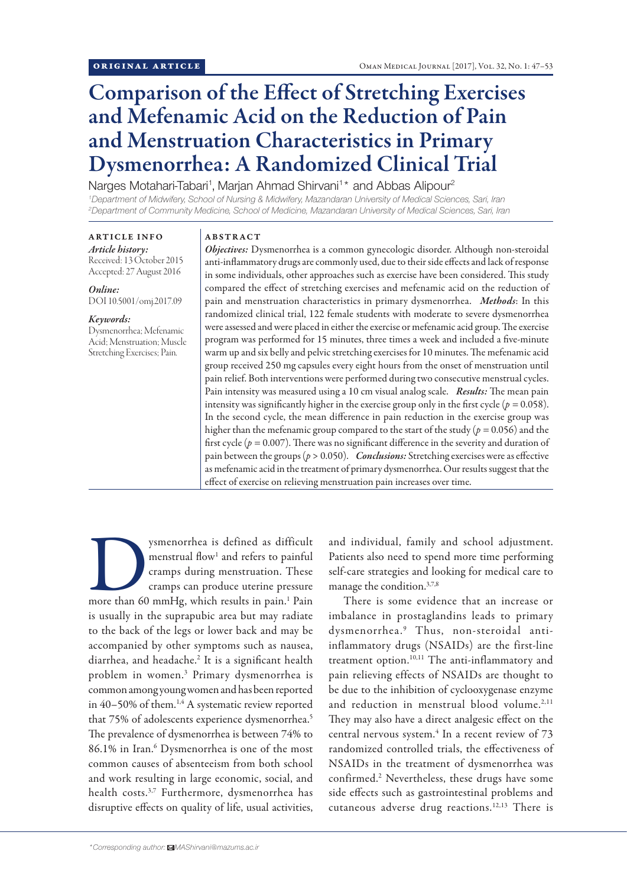# Comparison of the Effect of Stretching Exercises and Mefenamic Acid on the Reduction of Pain and Menstruation Characteristics in Primary Dysmenorrhea: A Randomized Clinical Trial

Narges Motahari-Tabari<sup>1</sup>, Marjan Ahmad Shirvani<sup>1\*</sup> and Abbas Alipour<sup>2</sup>

*1 Department of Midwifery, School of Nursing & Midwifery, Mazandaran University of Medical Sciences, Sari, Iran 2 Department of Community Medicine, School of Medicine, Mazandaran University of Medical Sciences, Sari, Iran*

## ARTICLE INFO

*Article history:* Received: 13 October 2015 Accepted: 27 August 2016

*Online:* DOI 10.5001/omj.2017.09

### *Keywords:*

Dysmenorrhea; Mefenamic Acid; Menstruation; Muscle Stretching Exercises; Pain.

### ABSTRACT

*Objectives:* Dysmenorrhea is a common gynecologic disorder. Although non-steroidal anti-inflammatory drugs are commonly used, due to their side effects and lack of response in some individuals, other approaches such as exercise have been considered. This study compared the effect of stretching exercises and mefenamic acid on the reduction of pain and menstruation characteristics in primary dysmenorrhea. *Methods*: In this randomized clinical trial, 122 female students with moderate to severe dysmenorrhea were assessed and were placed in either the exercise or mefenamic acid group. The exercise program was performed for 15 minutes, three times a week and included a five-minute warm up and six belly and pelvic stretching exercises for 10 minutes. The mefenamic acid group received 250 mg capsules every eight hours from the onset of menstruation until pain relief. Both interventions were performed during two consecutive menstrual cycles. Pain intensity was measured using a 10 cm visual analog scale. *Results:* The mean pain intensity was significantly higher in the exercise group only in the first cycle (*p =* 0.058). In the second cycle, the mean difference in pain reduction in the exercise group was higher than the mefenamic group compared to the start of the study (*p =* 0.056) and the first cycle (*p =* 0.007). There was no significant difference in the severity and duration of pain between the groups (*p* > 0.050). *Conclusions:* Stretching exercises were as effective as mefenamic acid in the treatment of primary dysmenorrhea. Our results suggest that the effect of exercise on relieving menstruation pain increases over time.

ysmenorrhea is defined as difficult<br>
menstrual flow<sup>1</sup> and refers to painful<br>
cramps during menstruation. These<br>
cramps can produce uterine pressure<br>
more than 60 mmHg, which results in pain.<sup>1</sup> Pain menstrual flow<sup>1</sup> and refers to painful cramps during menstruation. These cramps can produce uterine pressure is usually in the suprapubic area but may radiate to the back of the legs or lower back and may be accompanied by other symptoms such as nausea, diarrhea, and headache.<sup>2</sup> It is a significant health problem in women.3 Primary dysmenorrhea is common among young women and has been reported in 40–50% of them.<sup>1,4</sup> A systematic review reported that 75% of adolescents experience dysmenorrhea.<sup>5</sup> The prevalence of dysmenorrhea is between 74% to 86.1% in Iran.<sup>6</sup> Dysmenorrhea is one of the most common causes of absenteeism from both school and work resulting in large economic, social, and health costs.3,7 Furthermore, dysmenorrhea has disruptive effects on quality of life, usual activities,

and individual, family and school adjustment. Patients also need to spend more time performing self-care strategies and looking for medical care to manage the condition.3,7,8

There is some evidence that an increase or imbalance in prostaglandins leads to primary dysmenorrhea.9 Thus, non-steroidal antiinflammatory drugs (NSAIDs) are the first-line treatment option.<sup>10,11</sup> The anti-inflammatory and pain relieving effects of NSAIDs are thought to be due to the inhibition of cyclooxygenase enzyme and reduction in menstrual blood volume.<sup>2,11</sup> They may also have a direct analgesic effect on the central nervous system.<sup>4</sup> In a recent review of 73 randomized controlled trials, the effectiveness of NSAIDs in the treatment of dysmenorrhea was confirmed.2 Nevertheless, these drugs have some side effects such as gastrointestinal problems and cutaneous adverse drug reactions.12,13 There is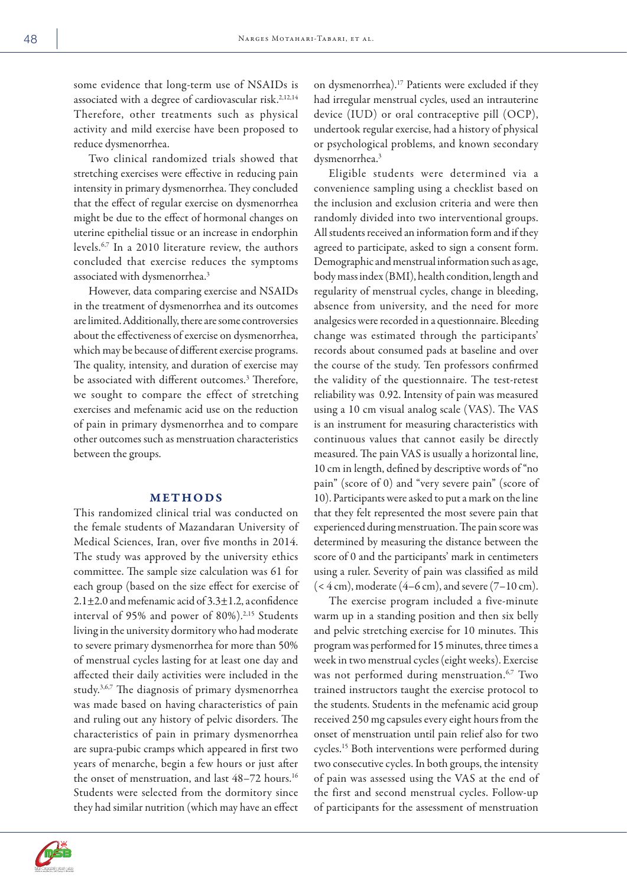some evidence that long-term use of NSAIDs is associated with a degree of cardiovascular risk.<sup>2,12,14</sup> Therefore, other treatments such as physical activity and mild exercise have been proposed to reduce dysmenorrhea.

Two clinical randomized trials showed that stretching exercises were effective in reducing pain intensity in primary dysmenorrhea. They concluded that the effect of regular exercise on dysmenorrhea might be due to the effect of hormonal changes on uterine epithelial tissue or an increase in endorphin levels.6,7 In a 2010 literature review, the authors concluded that exercise reduces the symptoms associated with dysmenorrhea.3

However, data comparing exercise and NSAIDs in the treatment of dysmenorrhea and its outcomes are limited. Additionally, there are some controversies about the effectiveness of exercise on dysmenorrhea, which may be because of different exercise programs. The quality, intensity, and duration of exercise may be associated with different outcomes.3 Therefore, we sought to compare the effect of stretching exercises and mefenamic acid use on the reduction of pain in primary dysmenorrhea and to compare other outcomes such as menstruation characteristics between the groups.

### METHODS

This randomized clinical trial was conducted on the female students of Mazandaran University of Medical Sciences, Iran, over five months in 2014. The study was approved by the university ethics committee. The sample size calculation was 61 for each group (based on the size effect for exercise of 2.1 $\pm$ 2.0 and mefenamic acid of 3.3 $\pm$ 1.2, a confidence interval of 95% and power of 80%).<sup>2,15</sup> Students living in the university dormitory who had moderate to severe primary dysmenorrhea for more than 50% of menstrual cycles lasting for at least one day and affected their daily activities were included in the study.3,6,7 The diagnosis of primary dysmenorrhea was made based on having characteristics of pain and ruling out any history of pelvic disorders. The characteristics of pain in primary dysmenorrhea are supra-pubic cramps which appeared in first two years of menarche, begin a few hours or just after the onset of menstruation, and last  $48-72$  hours.<sup>16</sup> Students were selected from the dormitory since they had similar nutrition (which may have an effect



Eligible students were determined via a convenience sampling using a checklist based on the inclusion and exclusion criteria and were then randomly divided into two interventional groups. All students received an information form and if they agreed to participate, asked to sign a consent form. Demographic and menstrual information such as age, body mass index (BMI), health condition, length and regularity of menstrual cycles, change in bleeding, absence from university, and the need for more analgesics were recorded in a questionnaire. Bleeding change was estimated through the participants' records about consumed pads at baseline and over the course of the study. Ten professors confirmed the validity of the questionnaire. The test-retest reliability was 0.92. Intensity of pain was measured using a 10 cm visual analog scale (VAS). The VAS is an instrument for measuring characteristics with continuous values that cannot easily be directly measured. The pain VAS is usually a horizontal line, 10 cm in length, defined by descriptive words of "no pain" (score of 0) and "very severe pain" (score of 10). Participants were asked to put a mark on the line that they felt represented the most severe pain that experienced during menstruation. The pain score was determined by measuring the distance between the score of 0 and the participants' mark in centimeters using a ruler. Severity of pain was classified as mild  $(< 4 \text{ cm})$ , moderate  $(4-6 \text{ cm})$ , and severe  $(7-10 \text{ cm})$ .

The exercise program included a five-minute warm up in a standing position and then six belly and pelvic stretching exercise for 10 minutes. This program was performed for 15 minutes, three times a week in two menstrual cycles (eight weeks). Exercise was not performed during menstruation.<sup>6,7</sup> Two trained instructors taught the exercise protocol to the students. Students in the mefenamic acid group received 250 mg capsules every eight hours from the onset of menstruation until pain relief also for two cycles.15 Both interventions were performed during two consecutive cycles. In both groups, the intensity of pain was assessed using the VAS at the end of the first and second menstrual cycles. Follow-up of participants for the assessment of menstruation

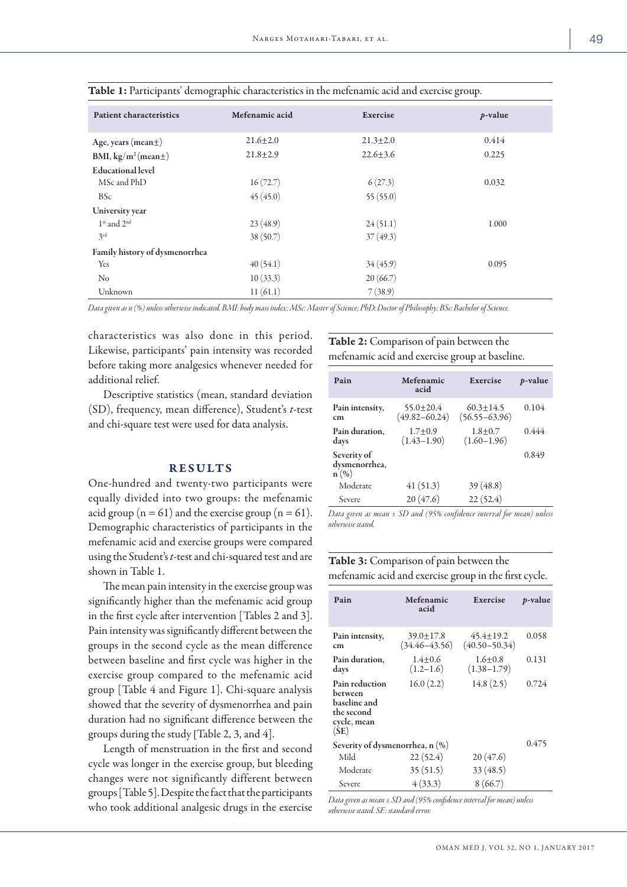| <b>Patient characteristics</b>      | Mefenamic acid | Exercise       | $p$ -value |  |
|-------------------------------------|----------------|----------------|------------|--|
| Age, years (mean $\pm$ )            | $21.6 \pm 2.0$ | $21.3 \pm 2.0$ | 0.414      |  |
| BMI, $\text{kg/m}^2$ (mean $\pm$ )  | $21.8 \pm 2.9$ | $22.6 \pm 3.6$ | 0.225      |  |
| <b>Educational level</b>            |                |                |            |  |
| MSc and PhD                         | 16(72.7)       | 6(27.3)        | 0.032      |  |
| <b>BSc</b>                          | 45(45.0)       | 55(55.0)       |            |  |
| University year                     |                |                |            |  |
| 1 <sup>st</sup> and 2 <sup>nd</sup> | 23(48.9)       | 24(51.1)       | 1.000      |  |
| 3rd                                 | 38(50.7)       | 37(49.3)       |            |  |
| Family history of dysmenorrhea      |                |                |            |  |
| Yes                                 | 40(54.1)       | 34(45.9)       | 0.095      |  |
| N <sub>o</sub>                      | 10(33.3)       | 20(66.7)       |            |  |
| Unknown                             | 11(61.1)       | 7(38.9)        |            |  |

Table 1: Participants' demographic characteristics in the mefenamic acid and exercise group.

*Data given as n (%) unless otherwise indicated. BMI: body mass index; MSc: Master of Science; PhD:Doctor of Philosophy; BSc:Bachelor of Science.* 

characteristics was also done in this period. Likewise, participants' pain intensity was recorded before taking more analgesics whenever needed for additional relief.

Descriptive statistics (mean, standard deviation (SD), frequency, mean difference), Student's *t*-test and chi-square test were used for data analysis.

### RESULTS

One-hundred and twenty-two participants were equally divided into two groups: the mefenamic acid group ( $n = 61$ ) and the exercise group ( $n = 61$ ). Demographic characteristics of participants in the mefenamic acid and exercise groups were compared using the Student's *t*-test and chi-squared test and are shown in Table 1.

The mean pain intensity in the exercise group was significantly higher than the mefenamic acid group in the first cycle after intervention [Tables 2 and 3]. Pain intensity was significantly different between the groups in the second cycle as the mean difference between baseline and first cycle was higher in the exercise group compared to the mefenamic acid group [Table 4 and Figure 1]. Chi-square analysis showed that the severity of dysmenorrhea and pain duration had no significant difference between the groups during the study [Table 2, 3, and 4].

Length of menstruation in the first and second cycle was longer in the exercise group, but bleeding changes were not significantly different between groups [Table 5]. Despite the fact that the participants who took additional analgesic drugs in the exercise Table 2: Comparison of pain between the mefenamic acid and exercise group at baseline.

| Pain                                 | Mefenamic<br>acid                  | Exercise                           | <i>p</i> -value |
|--------------------------------------|------------------------------------|------------------------------------|-----------------|
| Pain intensity,<br>cm                | $55.0 + 20.4$<br>$(49.82 - 60.24)$ | $60.3 + 14.5$<br>$(56.55 - 63.96)$ | 0.104           |
| Pain duration,<br>days               | $1.7+0.9$<br>$(1.43 - 1.90)$       | $1.8 + 0.7$<br>$(1.60 - 1.96)$     | 0.444           |
| Severity of<br>dysmenorrhea,<br>n(%) |                                    |                                    | 0.849           |
| Moderate                             | 41(51.3)                           | 39(48.8)                           |                 |
| Severe                               | 20(47.6)                           | 22(52.4)                           |                 |

*Data given as mean ± SD and (95% confidence interval for mean) unless otherwise stated.* 

# Table 3: Comparison of pain between the mefenamic acid and exercise group in the first cycle.

| Pain                                                                           | Mefenamic<br>acid                    | Exercise                             | <i>p</i> -value |
|--------------------------------------------------------------------------------|--------------------------------------|--------------------------------------|-----------------|
| Pain intensity,<br>cm                                                          | $39.0 \pm 17.8$<br>$(34.46 - 43.56)$ | $45.4 \pm 19.2$<br>$(40.50 - 50.34)$ | 0.058           |
| Pain duration.<br>days                                                         | $1.4 + 0.6$<br>$(1.2 - 1.6)$         | $1.6 + 0.8$<br>$(1.38 - 1.79)$       | 0.131           |
| Pain reduction<br>between<br>baseline and<br>the second<br>cycle, mean<br>(SE) | 16.0(2.2)                            | 14.8(2.5)                            | 0.724           |
| Severity of dysmenorrhea, n (%)                                                | 0.475                                |                                      |                 |
| Mild                                                                           | 22(52.4)                             | 20(47.6)                             |                 |
| Moderate                                                                       | 35(51.5)                             | 33(48.5)                             |                 |
| Severe                                                                         | 4(33.3)                              | 8(66.7)                              |                 |

*Data given as mean ± SD and (95% confidence interval for mean) unless otherwise stated. SE: standard error.*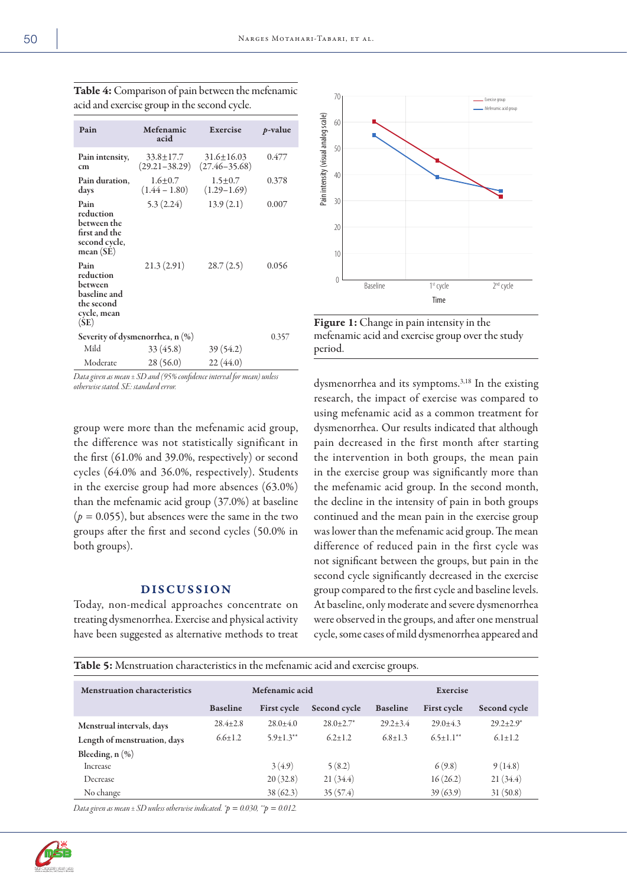| Pain                                                                              | Mefenamic<br>acid                    | Exercise                            | $p$ -value |
|-----------------------------------------------------------------------------------|--------------------------------------|-------------------------------------|------------|
| Pain intensity,<br>cm                                                             | $33.8 \pm 17.7$<br>$(29.21 - 38.29)$ | $31.6 + 16.03$<br>$(27.46 - 35.68)$ | 0.477      |
| Pain duration,<br>days                                                            | $1.6 + 0.7$<br>$(1.44 - 1.80)$       | $1.5 \pm 0.7$<br>$(1.29 - 1.69)$    | 0.378      |
| Pain<br>reduction<br>between the<br>first and the<br>second cycle,<br>mean(SE)    | 5.3(2.24)                            | 13.9(2.1)                           | 0.007      |
| Pain<br>reduction<br>between<br>baseline and<br>the second<br>cycle, mean<br>(SE) | 21.3(2.91)                           | 28.7(2.5)                           | 0.056      |
| Severity of dysmenorrhea, n (%)                                                   | 0.357                                |                                     |            |
| Mild                                                                              | 33(45.8)                             | 39 (54.2)                           |            |
| Moderate                                                                          | 28(56.0)                             | 22(44.0)                            |            |

Table 4: Comparison of pain between the mefenamic acid and exercise group in the second cycle.

*Data given as mean ± SD and (95% confidence interval for mean) unless otherwise stated. SE: standard error.* 

group were more than the mefenamic acid group, the difference was not statistically significant in the first (61.0% and 39.0%, respectively) or second cycles (64.0% and 36.0%, respectively). Students in the exercise group had more absences (63.0%) than the mefenamic acid group (37.0%) at baseline  $(p = 0.055)$ , but absences were the same in the two groups after the first and second cycles (50.0% in both groups).

### DISCUSSION

Today, non-medical approaches concentrate on treating dysmenorrhea. Exercise and physical activity have been suggested as alternative methods to treat



Figure 1: Change in pain intensity in the mefenamic acid and exercise group over the study period.

dysmenorrhea and its symptoms.3,18 In the existing research, the impact of exercise was compared to using mefenamic acid as a common treatment for dysmenorrhea. Our results indicated that although pain decreased in the first month after starting the intervention in both groups, the mean pain in the exercise group was significantly more than the mefenamic acid group. In the second month, the decline in the intensity of pain in both groups continued and the mean pain in the exercise group was lower than the mefenamic acid group. The mean difference of reduced pain in the first cycle was not significant between the groups, but pain in the second cycle significantly decreased in the exercise group compared to the first cycle and baseline levels. At baseline, only moderate and severe dysmenorrhea were observed in the groups, and after one menstrual cycle, some cases of mild dysmenorrhea appeared and

| Table 5: Menstruation characteristics in the mefenamic acid and exercise groups. |  |  |
|----------------------------------------------------------------------------------|--|--|
|                                                                                  |  |  |

| <b>Menstruation characteristics</b> | Mefenamic acid  |                           | Exercise                  |                 |                    |                  |
|-------------------------------------|-----------------|---------------------------|---------------------------|-----------------|--------------------|------------------|
|                                     | <b>Baseline</b> | <b>First cycle</b>        | Second cycle              | <b>Baseline</b> | <b>First cycle</b> | Second cycle     |
| Menstrual intervals, days           | $28.4 + 2.8$    | $28.0 + 4.0$              | $28.0 + 2.7$ <sup>*</sup> | $29.2 + 3.4$    | $29.0 + 4.3$       | $29.2 \pm 2.9^*$ |
| Length of menstruation, days        | $6.6 + 1.2$     | $5.9 + 1.3$ <sup>**</sup> | $62+12$                   | $6.8 + 1.3$     | $6.5+1.1**$        | $6.1 + 1.2$      |
| Bleeding, $n$ $(\%)$                |                 |                           |                           |                 |                    |                  |
| Increase                            |                 | 3(4.9)                    | 5(8.2)                    |                 | 6(9.8)             | 9(14.8)          |
| Decrease                            |                 | 20(32.8)                  | 21(34.4)                  |                 | 16(26.2)           | 21(34.4)         |
| No change                           |                 | 38(62.3)                  | 35(57.4)                  |                 | 39(63.9)           | 31(50.8)         |

*Data given as mean*  $\pm$  *SD unless otherwise indicated.*  $\phi = 0.030$ ,  $\mu$  $\phi = 0.012$ .

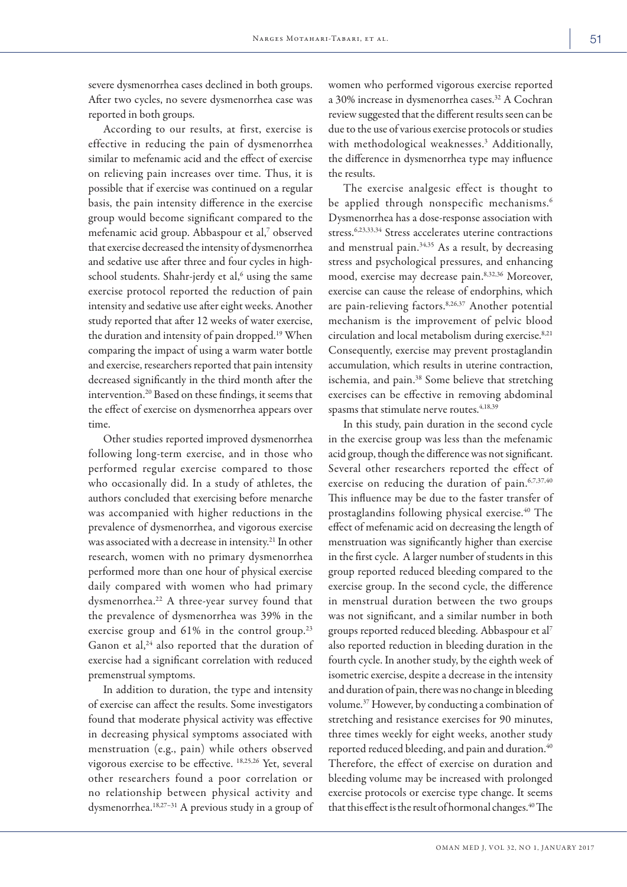severe dysmenorrhea cases declined in both groups. After two cycles, no severe dysmenorrhea case was reported in both groups.

According to our results, at first, exercise is effective in reducing the pain of dysmenorrhea similar to mefenamic acid and the effect of exercise on relieving pain increases over time. Thus, it is possible that if exercise was continued on a regular basis, the pain intensity difference in the exercise group would become significant compared to the mefenamic acid group. Abbaspour et al,<sup>7</sup> observed that exercise decreased the intensity of dysmenorrhea and sedative use after three and four cycles in highschool students. Shahr-jerdy et al,<sup>6</sup> using the same exercise protocol reported the reduction of pain intensity and sedative use after eight weeks. Another study reported that after 12 weeks of water exercise, the duration and intensity of pain dropped.19 When comparing the impact of using a warm water bottle and exercise, researchers reported that pain intensity decreased significantly in the third month after the intervention.20 Based on these findings, it seems that the effect of exercise on dysmenorrhea appears over time.

Other studies reported improved dysmenorrhea following long-term exercise, and in those who performed regular exercise compared to those who occasionally did. In a study of athletes, the authors concluded that exercising before menarche was accompanied with higher reductions in the prevalence of dysmenorrhea, and vigorous exercise was associated with a decrease in intensity.<sup>21</sup> In other research, women with no primary dysmenorrhea performed more than one hour of physical exercise daily compared with women who had primary dysmenorrhea.22 A three-year survey found that the prevalence of dysmenorrhea was 39% in the exercise group and 61% in the control group.<sup>23</sup> Ganon et al,<sup>24</sup> also reported that the duration of exercise had a significant correlation with reduced premenstrual symptoms.

In addition to duration, the type and intensity of exercise can affect the results. Some investigators found that moderate physical activity was effective in decreasing physical symptoms associated with menstruation (e.g., pain) while others observed vigorous exercise to be effective. 18,25,26 Yet, several other researchers found a poor correlation or no relationship between physical activity and dysmenorrhea.18,27–31 A previous study in a group of women who performed vigorous exercise reported a 30% increase in dysmenorrhea cases.<sup>32</sup> A Cochran review suggested that the different results seen can be due to the use of various exercise protocols or studies with methodological weaknesses.3 Additionally, the difference in dysmenorrhea type may influence the results.

The exercise analgesic effect is thought to be applied through nonspecific mechanisms.<sup>6</sup> Dysmenorrhea has a dose-response association with stress.6,23,33,34 Stress accelerates uterine contractions and menstrual pain.<sup>34,35</sup> As a result, by decreasing stress and psychological pressures, and enhancing mood, exercise may decrease pain.<sup>8,32,36</sup> Moreover, exercise can cause the release of endorphins, which are pain-relieving factors.8,26,37 Another potential mechanism is the improvement of pelvic blood circulation and local metabolism during exercise.<sup>8,21</sup> Consequently, exercise may prevent prostaglandin accumulation, which results in uterine contraction, ischemia, and pain.<sup>38</sup> Some believe that stretching exercises can be effective in removing abdominal spasms that stimulate nerve routes.<sup>4,18,39</sup>

In this study, pain duration in the second cycle in the exercise group was less than the mefenamic acid group, though the difference was not significant. Several other researchers reported the effect of exercise on reducing the duration of pain.<sup>6,7,37,40</sup> This influence may be due to the faster transfer of prostaglandins following physical exercise.<sup>40</sup> The effect of mefenamic acid on decreasing the length of menstruation was significantly higher than exercise in the first cycle. A larger number of students in this group reported reduced bleeding compared to the exercise group. In the second cycle, the difference in menstrual duration between the two groups was not significant, and a similar number in both groups reported reduced bleeding. Abbaspour et al7 also reported reduction in bleeding duration in the fourth cycle. In another study, by the eighth week of isometric exercise, despite a decrease in the intensity and duration of pain, there was no change in bleeding volume.37 However, by conducting a combination of stretching and resistance exercises for 90 minutes, three times weekly for eight weeks, another study reported reduced bleeding, and pain and duration.<sup>40</sup> Therefore, the effect of exercise on duration and bleeding volume may be increased with prolonged exercise protocols or exercise type change. It seems that this effect is the result of hormonal changes.<sup>40</sup> The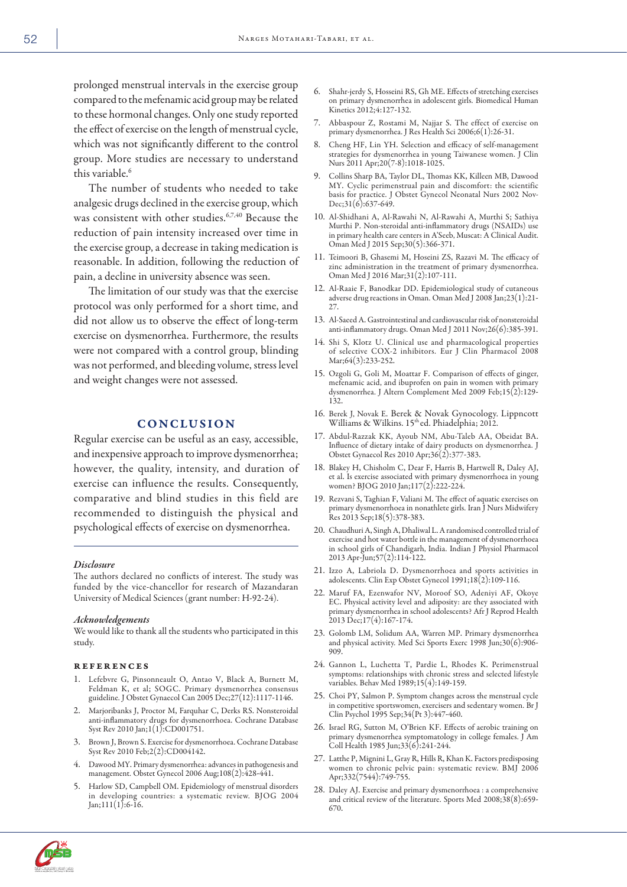prolonged menstrual intervals in the exercise group compared to the mefenamic acid group may be related to these hormonal changes. Only one study reported the effect of exercise on the length of menstrual cycle, which was not significantly different to the control group. More studies are necessary to understand this variable.<sup>6</sup>

The number of students who needed to take analgesic drugs declined in the exercise group, which was consistent with other studies.6,7,40 Because the reduction of pain intensity increased over time in the exercise group, a decrease in taking medication is reasonable. In addition, following the reduction of pain, a decline in university absence was seen.

The limitation of our study was that the exercise protocol was only performed for a short time, and did not allow us to observe the effect of long-term exercise on dysmenorrhea. Furthermore, the results were not compared with a control group, blinding was not performed, and bleeding volume, stress level and weight changes were not assessed.

# **CONCLUSION**

Regular exercise can be useful as an easy, accessible, and inexpensive approach to improve dysmenorrhea; however, the quality, intensity, and duration of exercise can influence the results. Consequently, comparative and blind studies in this field are recommended to distinguish the physical and psychological effects of exercise on dysmenorrhea.

#### *Disclosure*

The authors declared no conflicts of interest. The study was funded by the vice-chancellor for research of Mazandaran University of Medical Sciences (grant number: H-92-24).

#### *Acknowledgements*

We would like to thank all the students who participated in this study.

### references

- 1. Lefebvre G, Pinsonneault O, Antao V, Black A, Burnett M, Feldman K, et al; SOGC. Primary dysmenorrhea consensus guideline. J Obstet Gynaecol Can 2005 Dec;27(12):1117-1146.
- 2. Marjoribanks J, Proctor M, Farquhar C, Derks RS. Nonsteroidal anti-inflammatory drugs for dysmenorrhoea. Cochrane Database Syst Rev 2010 Jan;1(1):CD001751.
- 3. Brown J, Brown S. Exercise for dysmenorrhoea. Cochrane Database Syst Rev 2010 Feb;2(2):CD004142.
- 4. Dawood MY. Primary dysmenorrhea: advances in pathogenesis and management. Obstet Gynecol 2006 Aug;108(2):428-441.
- Harlow SD, Campbell OM. Epidemiology of menstrual disorders in developing countries: a systematic review. BJOG 2004 Jan;111(1):6-16.
- 6. Shahr-jerdy S, Hosseini RS, Gh ME. Effects of stretching exercises on primary dysmenorrhea in adolescent girls. Biomedical Human Kinetics 2012;4:127-132.
- 7. Abbaspour Z, Rostami M, Najjar S. The effect of exercise on primary dysmenorrhea. J Res Health Sci 2006;6(1):26-31.
- 8. Cheng HF, Lin YH. Selection and efficacy of self-management strategies for dysmenorrhea in young Taiwanese women. J Clin Nurs 2011 Apr; 20(7-8): 1018-1025.
- 9. Collins Sharp BA, Taylor DL, Thomas KK, Killeen MB, Dawood MY. Cyclic perimenstrual pain and discomfort: the scientific basis for practice. J Obstet Gynecol Neonatal Nurs 2002 Nov-Dec;31(6):637-649.
- 10. Al-Shidhani A, Al-Rawahi N, Al-Rawahi A, Murthi S; Sathiya Murthi P. Non-steroidal anti-inflammatory drugs (NSAIDs) use in primary health care centers in A'Seeb, Muscat: A Clinical Audit. Oman Med J 2015 Sep;30(5):366-371.
- 11. Teimoori B, Ghasemi M, Hoseini ZS, Razavi M. The efficacy of zinc administration in the treatment of primary dysmenorrhea. Oman Med J 2016 Mar;31(2):107-111.
- 12. Al-Raaie F, Banodkar DD. Epidemiological study of cutaneous adverse drug reactions in Oman. Oman Med J <sup>2008</sup> Jan;23(1):21- 27.
- 13. Al-SaeedA. Gastrointestinal and cardiovascular risk of nonsteroidal anti-inflammatory drugs. Oman Med J 2011 Nov;26(6):385-391.
- 14. Shi S, Klotz U. Clinical use and pharmacological properties of selective COX-2 inhibitors. Eur J Clin Pharmacol 2008 Mar;64(3):233-252.
- 15. Ozgoli G, Goli M, Moattar F. Comparison of effects of ginger, mefenamic acid, and ibuprofen on pain in women with primary dysmenorrhea. J Altern Complement Med <sup>2009</sup> Feb;15(2):129- 132.
- 16. Berek J, Novak E. Berek & Novak Gynocology. Lippncott Williams & Wilkins. 15th ed. Phiadelphia; 2012.
- 17. Abdul-Razzak KK, Ayoub NM, Abu-Taleb AA, Obeidat BA. Influence of dietary intake of dairy products on dysmenorrhea. <sup>J</sup> Obstet Gynaecol Res 2010 Apr;36(2):377-383.
- 18. Blakey H, Chisholm C, Dear F, Harris B, Hartwell R, Daley AJ, et al. Is exercise associated with primary dysmenorrhoea in young women? BJOG 2010 Jan;117(2):222-224.
- 19. Rezvani S, Taghian F, Valiani M. The effect of aquatic exercises on primary dysmenorrhoea in nonathlete girls. Iran J Nurs Midwifery Res 2013 Sep;18(5):378-383.
- 20. Chaudhuri A, Singh A, Dhaliwal L. A randomised controlled trial of exercise and hot water bottle in the management of dysmenorrhoea in school girls of Chandigarh, India. Indian J Physiol Pharmacol 2013 Apr-Jun;57(2):114-122.
- 21. Izzo A, Labriola D. Dysmenorrhoea and sports activities in adolescents. Clin Exp Obstet Gynecol 1991;18(2):109-116.
- 22. Maruf FA, Ezenwafor NV, Moroof SO, Adeniyi AF, Okoye EC. Physical activity level and adiposity: are they associated with primary dysmenorrhea in school adolescents? Afr J Reprod Health 2013 Dec;17(4):167-174.
- 23. Golomb LM, Solidum AA, Warren MP. Primary dysmenorrhea and physical activity. Med Sci Sports Exerc <sup>1998</sup> Jun;30(6):906- 909.
- 24. Gannon L, Luchetta T, Pardie L, Rhodes K. Perimenstrual symptoms: relationships with chronic stress and selected lifestyle variables. Behav Med 1989;15(4):149-159.
- 25. Choi PY, Salmon P. Symptom changes across the menstrual cycle in competitive sportswomen, exercisers and sedentary women. Br J Clin Psychol 1995 Sep;34(Pt 3):447-460.
- 26. Israel RG, Sutton M, O'Brien KF. Effects of aerobic training on primary dysmenorrhea symptomatology in college females. J Am Coll Health 1985 Jun;33(6):241-244.
- 27. Latthe P, Mignini L, Gray R, Hills R, Khan K. Factors predisposing women to chronic pelvic pain: systematic review. BMJ 2006 Apr;332(7544):749-755.
- 28. Daley AJ. Exercise and primary dysmenorrhoea : a comprehensive and critical review of the literature. Sports Med 2008;38(8):659- 670.